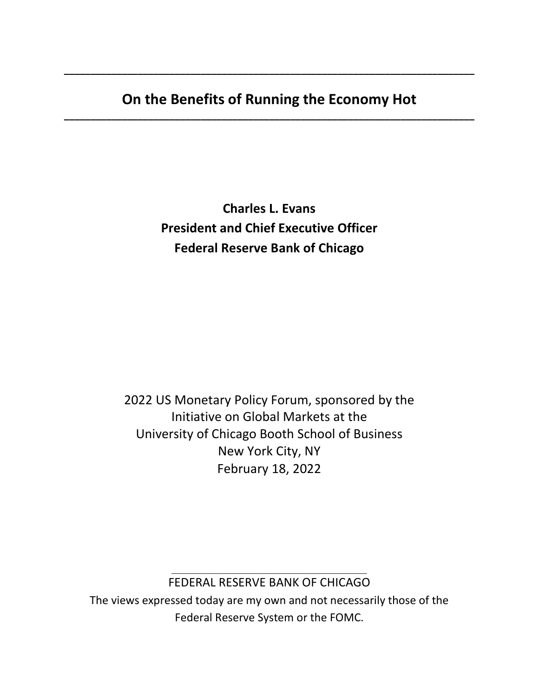# **On the Benefits of Running the Economy Hot \_\_\_\_\_\_\_\_\_\_\_\_\_\_\_\_\_\_\_\_\_\_\_\_\_\_\_\_\_\_\_\_\_\_\_\_\_\_\_\_\_\_\_\_\_\_\_\_\_\_\_\_\_\_\_\_\_\_\_\_\_\_\_\_\_\_\_\_\_\_\_\_\_\_\_\_\_\_**

**\_\_\_\_\_\_\_\_\_\_\_\_\_\_\_\_\_\_\_\_\_\_\_\_\_\_\_\_\_\_\_\_\_\_\_\_\_\_\_\_\_\_\_\_\_\_\_\_\_\_\_\_\_\_\_\_\_\_\_\_\_\_\_\_\_\_\_\_\_\_\_\_\_\_\_\_\_\_**

**Charles L. Evans President and Chief Executive Officer Federal Reserve Bank of Chicago**

2022 US Monetary Policy Forum, sponsored by the Initiative on Global Markets at the University of Chicago Booth School of Business New York City, NY February 18, 2022

### \_\_\_\_\_\_\_\_\_\_\_\_\_\_\_\_\_\_\_\_\_\_\_\_\_\_\_\_\_\_\_\_\_\_\_\_\_ FEDERAL RESERVE BANK OF CHICAGO

The views expressed today are my own and not necessarily those of the Federal Reserve System or the FOMC.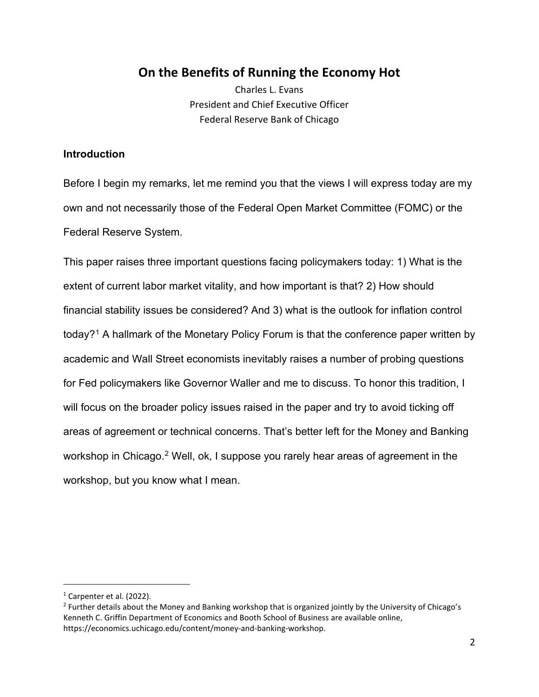# **On the Benefits of Running the Economy Hot**

Charles L. Evans President and Chief Executive Officer Federal Reserve Bank of Chicago

### **Introduction**

Before I begin my remarks, let me remind you that the views I will express today are my own and not necessarily those of the Federal Open Market Committee (FOMC) or the Federal Reserve System.

This paper raises three important questions facing policymakers today: 1) What is the extent of current labor market vitality, and how important is that? 2) How should financial stability issues be considered? And 3) what is the outlook for inflation control today?<sup>[1](#page-1-0)</sup> A hallmark of the Monetary Policy Forum is that the conference paper written by academic and Wall Street economists inevitably raises a number of probing questions for Fed policymakers like Governor Waller and me to discuss. To honor this tradition, I will focus on the broader policy issues raised in the paper and try to avoid ticking off areas of agreement or technical concerns. That's better left for the Money and Banking workshop in Chicago.<sup>[2](#page-1-1)</sup> Well, ok, I suppose you rarely hear areas of agreement in the workshop, but you know what I mean.

<span id="page-1-0"></span><sup>&</sup>lt;sup>1</sup> Carpenter et al. (2022).

<span id="page-1-1"></span><sup>&</sup>lt;sup>2</sup> Further details about the Money and Banking workshop that is organized jointly by the University of Chicago's Kenneth C. Griffin Department of Economics and Booth School of Business are available online, https://economics.uchicago.edu/content/money-and-banking-workshop.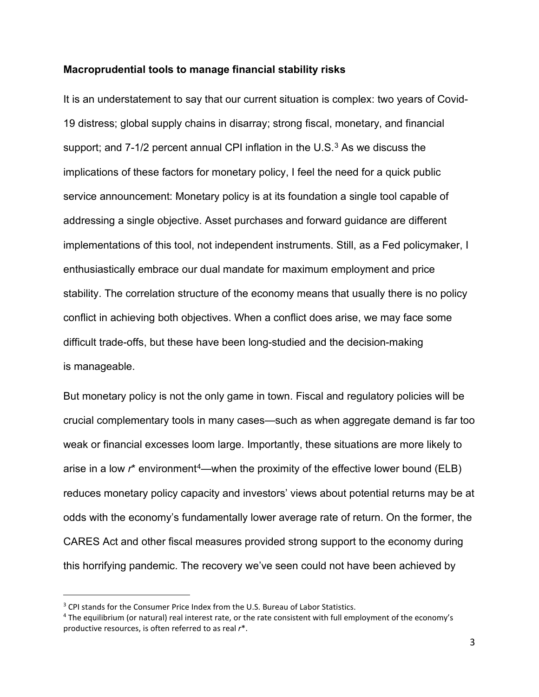#### **Macroprudential tools to manage financial stability risks**

It is an understatement to say that our current situation is complex: two years of Covid-19 distress; global supply chains in disarray; strong fiscal, monetary, and financial support; and  $7-1/2$  percent annual CPI inflation in the U.S. $3$  As we discuss the implications of these factors for monetary policy, I feel the need for a quick public service announcement: Monetary policy is at its foundation a single tool capable of addressing a single objective. Asset purchases and forward guidance are different implementations of this tool, not independent instruments. Still, as a Fed policymaker, I enthusiastically embrace our dual mandate for maximum employment and price stability. The correlation structure of the economy means that usually there is no policy conflict in achieving both objectives. When a conflict does arise, we may face some difficult trade-offs, but these have been long-studied and the decision-making is manageable.

But monetary policy is not the only game in town. Fiscal and regulatory policies will be crucial complementary tools in many cases—such as when aggregate demand is far too weak or financial excesses loom large. Importantly, these situations are more likely to arise in a low r<sup>\*</sup> environment<sup>[4](#page-2-1)</sup>—when the proximity of the effective lower bound (ELB) reduces monetary policy capacity and investors' views about potential returns may be at odds with the economy's fundamentally lower average rate of return. On the former, the CARES Act and other fiscal measures provided strong support to the economy during this horrifying pandemic. The recovery we've seen could not have been achieved by

<span id="page-2-0"></span><sup>&</sup>lt;sup>3</sup> CPI stands for the Consumer Price Index from the U.S. Bureau of Labor Statistics.

<span id="page-2-1"></span><sup>4</sup> The equilibrium (or natural) real interest rate, or the rate consistent with full employment of the economy's productive resources, is often referred to as real *r*\*.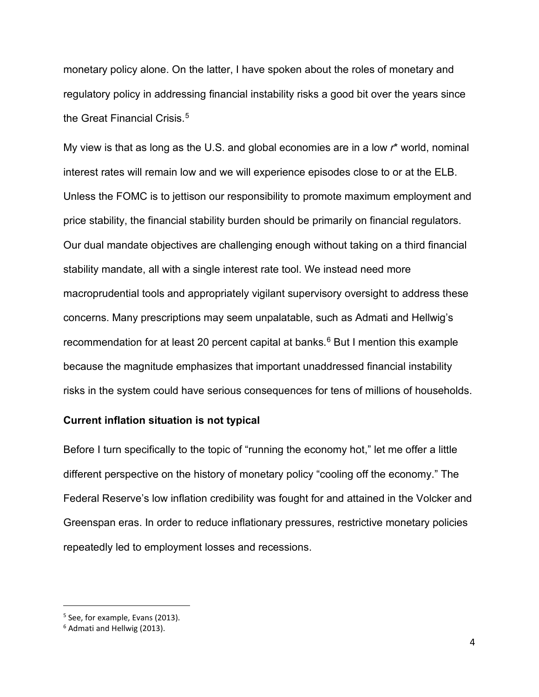monetary policy alone. On the latter, I have spoken about the roles of monetary and regulatory policy in addressing financial instability risks a good bit over the years since the Great Financial Crisis. [5](#page-3-0)

My view is that as long as the U.S. and global economies are in a low *r*\* world, nominal interest rates will remain low and we will experience episodes close to or at the ELB. Unless the FOMC is to jettison our responsibility to promote maximum employment and price stability, the financial stability burden should be primarily on financial regulators. Our dual mandate objectives are challenging enough without taking on a third financial stability mandate, all with a single interest rate tool. We instead need more macroprudential tools and appropriately vigilant supervisory oversight to address these concerns. Many prescriptions may seem unpalatable, such as Admati and Hellwig's recommendation for at least 20 percent capital at banks. [6](#page-3-1) But I mention this example because the magnitude emphasizes that important unaddressed financial instability risks in the system could have serious consequences for tens of millions of households.

#### **Current inflation situation is not typical**

Before I turn specifically to the topic of "running the economy hot," let me offer a little different perspective on the history of monetary policy "cooling off the economy." The Federal Reserve's low inflation credibility was fought for and attained in the Volcker and Greenspan eras. In order to reduce inflationary pressures, restrictive monetary policies repeatedly led to employment losses and recessions.

<span id="page-3-0"></span><sup>5</sup> See, for example, Evans (2013).

<span id="page-3-1"></span><sup>6</sup> Admati and Hellwig (2013).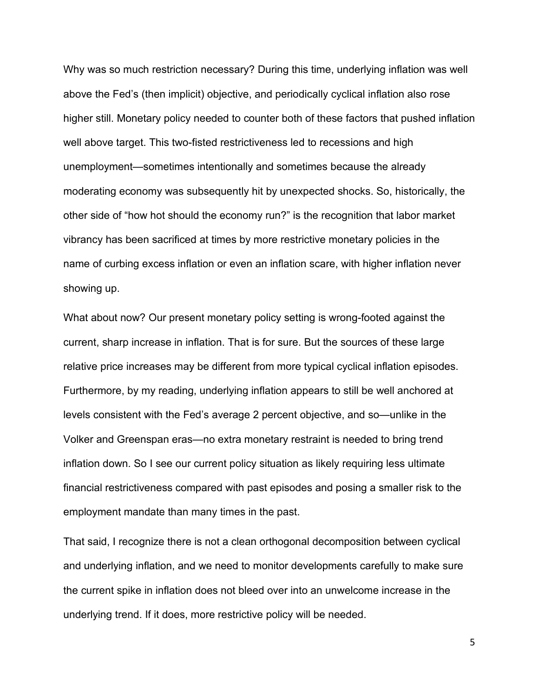Why was so much restriction necessary? During this time, underlying inflation was well above the Fed's (then implicit) objective, and periodically cyclical inflation also rose higher still. Monetary policy needed to counter both of these factors that pushed inflation well above target. This two-fisted restrictiveness led to recessions and high unemployment—sometimes intentionally and sometimes because the already moderating economy was subsequently hit by unexpected shocks. So, historically, the other side of "how hot should the economy run?" is the recognition that labor market vibrancy has been sacrificed at times by more restrictive monetary policies in the name of curbing excess inflation or even an inflation scare, with higher inflation never showing up.

What about now? Our present monetary policy setting is wrong-footed against the current, sharp increase in inflation. That is for sure. But the sources of these large relative price increases may be different from more typical cyclical inflation episodes. Furthermore, by my reading, underlying inflation appears to still be well anchored at levels consistent with the Fed's average 2 percent objective, and so—unlike in the Volker and Greenspan eras—no extra monetary restraint is needed to bring trend inflation down. So I see our current policy situation as likely requiring less ultimate financial restrictiveness compared with past episodes and posing a smaller risk to the employment mandate than many times in the past.

That said, I recognize there is not a clean orthogonal decomposition between cyclical and underlying inflation, and we need to monitor developments carefully to make sure the current spike in inflation does not bleed over into an unwelcome increase in the underlying trend. If it does, more restrictive policy will be needed.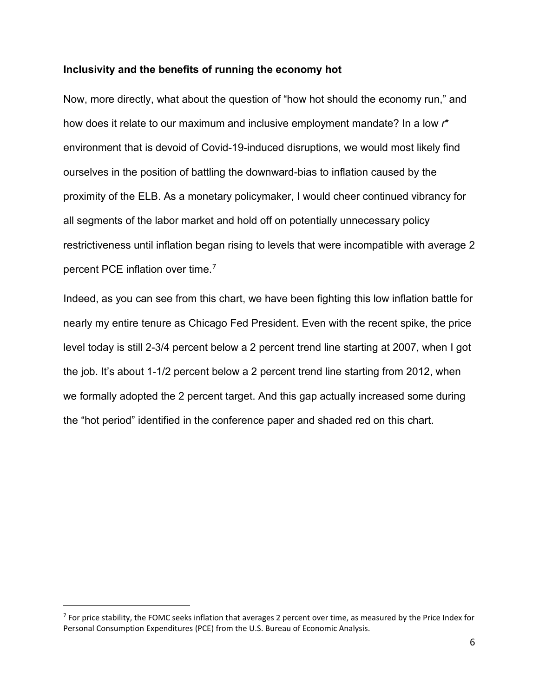#### **Inclusivity and the benefits of running the economy hot**

Now, more directly, what about the question of "how hot should the economy run," and how does it relate to our maximum and inclusive employment mandate? In a low *r*\* environment that is devoid of Covid-19-induced disruptions, we would most likely find ourselves in the position of battling the downward-bias to inflation caused by the proximity of the ELB. As a monetary policymaker, I would cheer continued vibrancy for all segments of the labor market and hold off on potentially unnecessary policy restrictiveness until inflation began rising to levels that were incompatible with average 2 percent PCE inflation over time.<sup>[7](#page-5-0)</sup>

Indeed, as you can see from this chart, we have been fighting this low inflation battle for nearly my entire tenure as Chicago Fed President. Even with the recent spike, the price level today is still 2-3/4 percent below a 2 percent trend line starting at 2007, when I got the job. It's about 1-1/2 percent below a 2 percent trend line starting from 2012, when we formally adopted the 2 percent target. And this gap actually increased some during the "hot period" identified in the conference paper and shaded red on this chart.

<span id="page-5-0"></span> $7$  For price stability, the FOMC seeks inflation that averages 2 percent over time, as measured by the Price Index for Personal Consumption Expenditures (PCE) from the U.S. Bureau of Economic Analysis.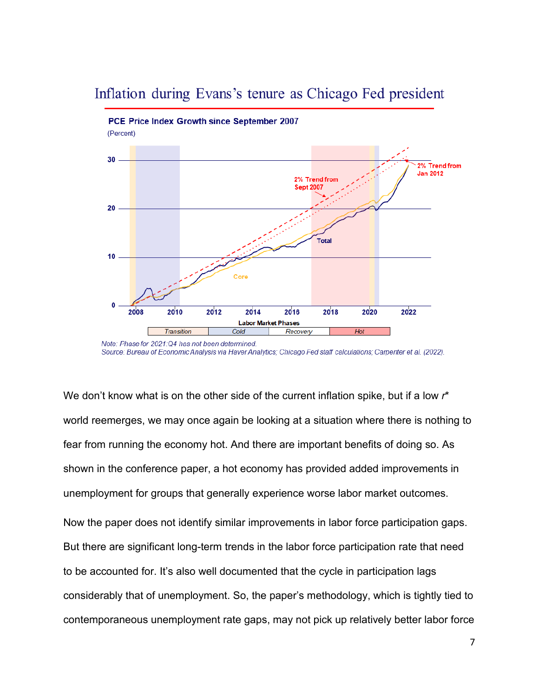# Inflation during Evans's tenure as Chicago Fed president



Source: Bureau of Economic Analysis via Haver Analytics; Chicago Fed staff calculations; Carpenter et al. (2022).

We don't know what is on the other side of the current inflation spike, but if a low *r*\* world reemerges, we may once again be looking at a situation where there is nothing to fear from running the economy hot. And there are important benefits of doing so. As shown in the conference paper, a hot economy has provided added improvements in unemployment for groups that generally experience worse labor market outcomes. Now the paper does not identify similar improvements in labor force participation gaps. But there are significant long-term trends in the labor force participation rate that need to be accounted for. It's also well documented that the cycle in participation lags considerably that of unemployment. So, the paper's methodology, which is tightly tied to contemporaneous unemployment rate gaps, may not pick up relatively better labor force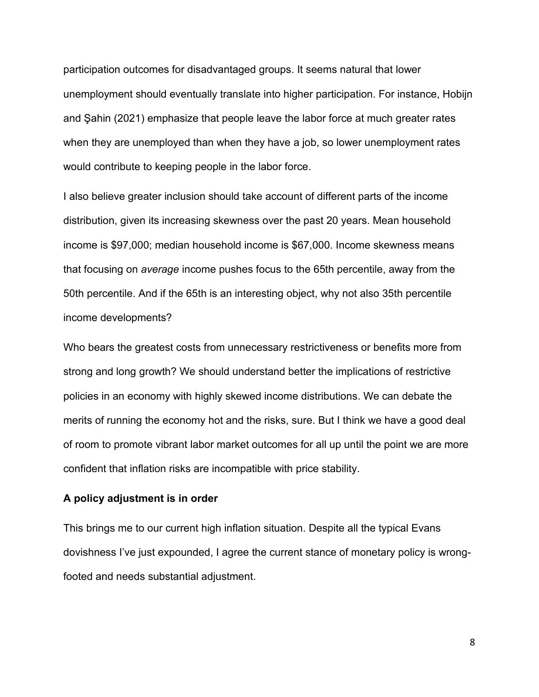participation outcomes for disadvantaged groups. It seems natural that lower unemployment should eventually translate into higher participation. For instance, Hobijn and Şahin (2021) emphasize that people leave the labor force at much greater rates when they are unemployed than when they have a job, so lower unemployment rates would contribute to keeping people in the labor force.

I also believe greater inclusion should take account of different parts of the income distribution, given its increasing skewness over the past 20 years. Mean household income is \$97,000; median household income is \$67,000. Income skewness means that focusing on *average* income pushes focus to the 65th percentile, away from the 50th percentile. And if the 65th is an interesting object, why not also 35th percentile income developments?

Who bears the greatest costs from unnecessary restrictiveness or benefits more from strong and long growth? We should understand better the implications of restrictive policies in an economy with highly skewed income distributions. We can debate the merits of running the economy hot and the risks, sure. But I think we have a good deal of room to promote vibrant labor market outcomes for all up until the point we are more confident that inflation risks are incompatible with price stability.

#### **A policy adjustment is in order**

This brings me to our current high inflation situation. Despite all the typical Evans dovishness I've just expounded, I agree the current stance of monetary policy is wrongfooted and needs substantial adjustment.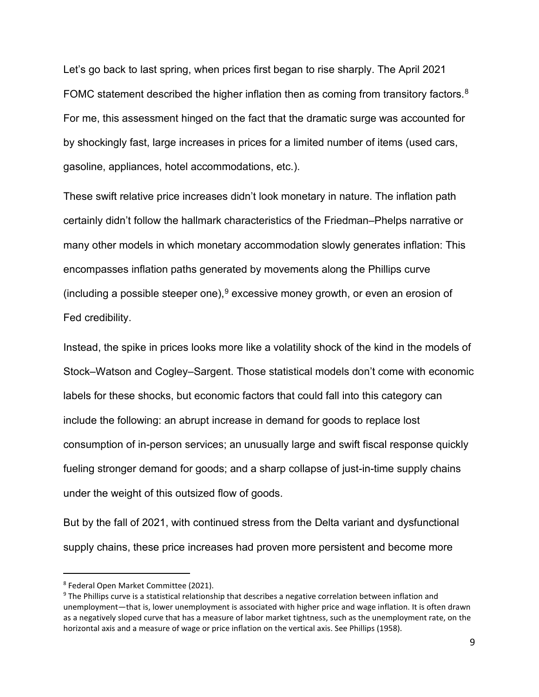Let's go back to last spring, when prices first began to rise sharply. The April 2021 FOMC statement described the higher inflation then as coming from transitory factors.<sup>[8](#page-8-0)</sup> For me, this assessment hinged on the fact that the dramatic surge was accounted for by shockingly fast, large increases in prices for a limited number of items (used cars, gasoline, appliances, hotel accommodations, etc.).

These swift relative price increases didn't look monetary in nature. The inflation path certainly didn't follow the hallmark characteristics of the Friedman–Phelps narrative or many other models in which monetary accommodation slowly generates inflation: This encompasses inflation paths generated by movements along the Phillips curve (including a possible steeper one),  $9$  excessive money growth, or even an erosion of Fed credibility.

Instead, the spike in prices looks more like a volatility shock of the kind in the models of Stock–Watson and Cogley–Sargent. Those statistical models don't come with economic labels for these shocks, but economic factors that could fall into this category can include the following: an abrupt increase in demand for goods to replace lost consumption of in-person services; an unusually large and swift fiscal response quickly fueling stronger demand for goods; and a sharp collapse of just-in-time supply chains under the weight of this outsized flow of goods.

But by the fall of 2021, with continued stress from the Delta variant and dysfunctional supply chains, these price increases had proven more persistent and become more

<span id="page-8-0"></span><sup>8</sup> Federal Open Market Committee (2021).

<span id="page-8-1"></span><sup>&</sup>lt;sup>9</sup> The Phillips curve is a statistical relationship that describes a negative correlation between inflation and unemployment—that is, lower unemployment is associated with higher price and wage inflation. It is often drawn as a negatively sloped curve that has a measure of labor market tightness, such as the unemployment rate, on the horizontal axis and a measure of wage or price inflation on the vertical axis. See Phillips (1958).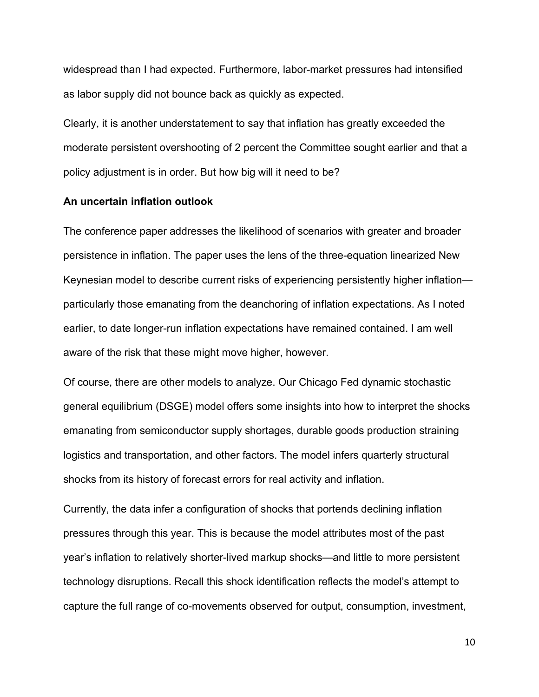widespread than I had expected. Furthermore, labor-market pressures had intensified as labor supply did not bounce back as quickly as expected.

Clearly, it is another understatement to say that inflation has greatly exceeded the moderate persistent overshooting of 2 percent the Committee sought earlier and that a policy adjustment is in order. But how big will it need to be?

#### **An uncertain inflation outlook**

The conference paper addresses the likelihood of scenarios with greater and broader persistence in inflation. The paper uses the lens of the three-equation linearized New Keynesian model to describe current risks of experiencing persistently higher inflation particularly those emanating from the deanchoring of inflation expectations. As I noted earlier, to date longer-run inflation expectations have remained contained. I am well aware of the risk that these might move higher, however.

Of course, there are other models to analyze. Our Chicago Fed dynamic stochastic general equilibrium (DSGE) model offers some insights into how to interpret the shocks emanating from semiconductor supply shortages, durable goods production straining logistics and transportation, and other factors. The model infers quarterly structural shocks from its history of forecast errors for real activity and inflation.

Currently, the data infer a configuration of shocks that portends declining inflation pressures through this year. This is because the model attributes most of the past year's inflation to relatively shorter-lived markup shocks—and little to more persistent technology disruptions. Recall this shock identification reflects the model's attempt to capture the full range of co-movements observed for output, consumption, investment,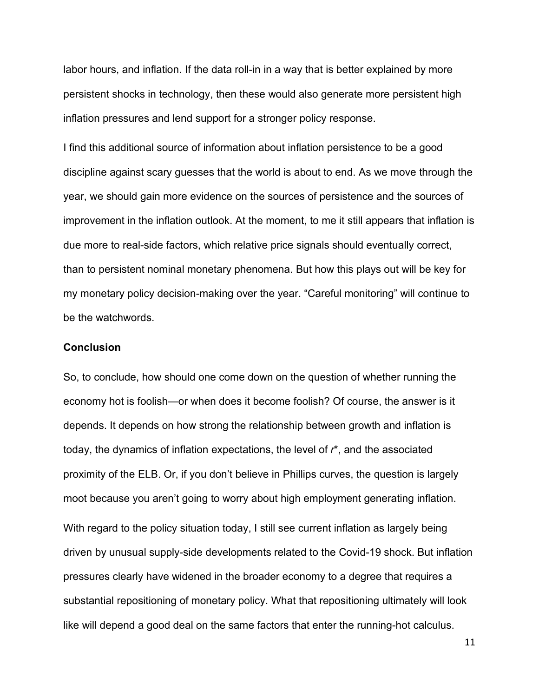labor hours, and inflation. If the data roll-in in a way that is better explained by more persistent shocks in technology, then these would also generate more persistent high inflation pressures and lend support for a stronger policy response.

I find this additional source of information about inflation persistence to be a good discipline against scary guesses that the world is about to end. As we move through the year, we should gain more evidence on the sources of persistence and the sources of improvement in the inflation outlook. At the moment, to me it still appears that inflation is due more to real-side factors, which relative price signals should eventually correct, than to persistent nominal monetary phenomena. But how this plays out will be key for my monetary policy decision-making over the year. "Careful monitoring" will continue to be the watchwords.

#### **Conclusion**

So, to conclude, how should one come down on the question of whether running the economy hot is foolish—or when does it become foolish? Of course, the answer is it depends. It depends on how strong the relationship between growth and inflation is today, the dynamics of inflation expectations, the level of *r*\*, and the associated proximity of the ELB. Or, if you don't believe in Phillips curves, the question is largely moot because you aren't going to worry about high employment generating inflation. With regard to the policy situation today, I still see current inflation as largely being driven by unusual supply-side developments related to the Covid-19 shock. But inflation pressures clearly have widened in the broader economy to a degree that requires a substantial repositioning of monetary policy. What that repositioning ultimately will look like will depend a good deal on the same factors that enter the running-hot calculus.